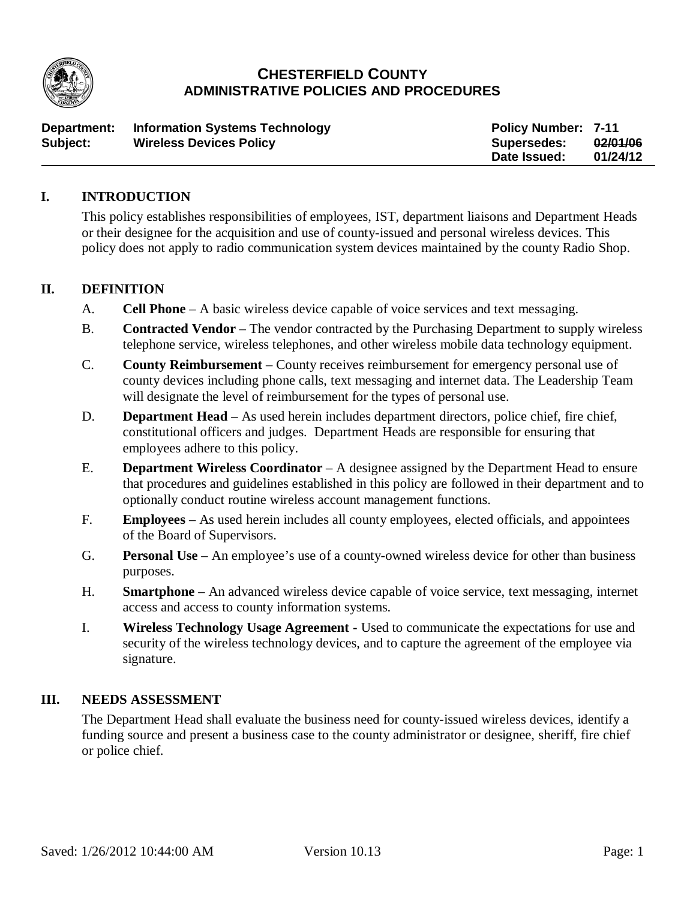

# **CHESTERFIELD COUNTY ADMINISTRATIVE POLICIES AND PROCEDURES**

| Department: | <b>Information Systems Technology</b> | <b>Policy Number: 7-11</b> |          |
|-------------|---------------------------------------|----------------------------|----------|
| Subject:    | <b>Wireless Devices Policy</b>        | <b>Supersedes:</b>         | 02/01/06 |
|             |                                       | Date Issued:               | 01/24/12 |

#### **I. INTRODUCTION**

This policy establishes responsibilities of employees, IST, department liaisons and Department Heads or their designee for the acquisition and use of county-issued and personal wireless devices. This policy does not apply to radio communication system devices maintained by the county Radio Shop.

#### **II. DEFINITION**

- A. **Cell Phone**  A basic wireless device capable of voice services and text messaging.
- B. **Contracted Vendor** The vendor contracted by the Purchasing Department to supply wireless telephone service, wireless telephones, and other wireless mobile data technology equipment.
- C. **County Reimbursement**  County receives reimbursement for emergency personal use of county devices including phone calls, text messaging and internet data. The Leadership Team will designate the level of reimbursement for the types of personal use.
- D. **Department Head** As used herein includes department directors, police chief, fire chief, constitutional officers and judges. Department Heads are responsible for ensuring that employees adhere to this policy.
- E. **Department Wireless Coordinator** A designee assigned by the Department Head to ensure that procedures and guidelines established in this policy are followed in their department and to optionally conduct routine wireless account management functions.
- F. **Employees**  As used herein includes all county employees, elected officials, and appointees of the Board of Supervisors.
- G. **Personal Use**  An employee's use of a county-owned wireless device for other than business purposes.
- H. **Smartphone**  An advanced wireless device capable of voice service, text messaging, internet access and access to county information systems.
- I. **Wireless Technology Usage Agreement -** Used to communicate the expectations for use and security of the wireless technology devices, and to capture the agreement of the employee via signature.

#### **III. NEEDS ASSESSMENT**

The Department Head shall evaluate the business need for county-issued wireless devices, identify a funding source and present a business case to the county administrator or designee, sheriff, fire chief or police chief.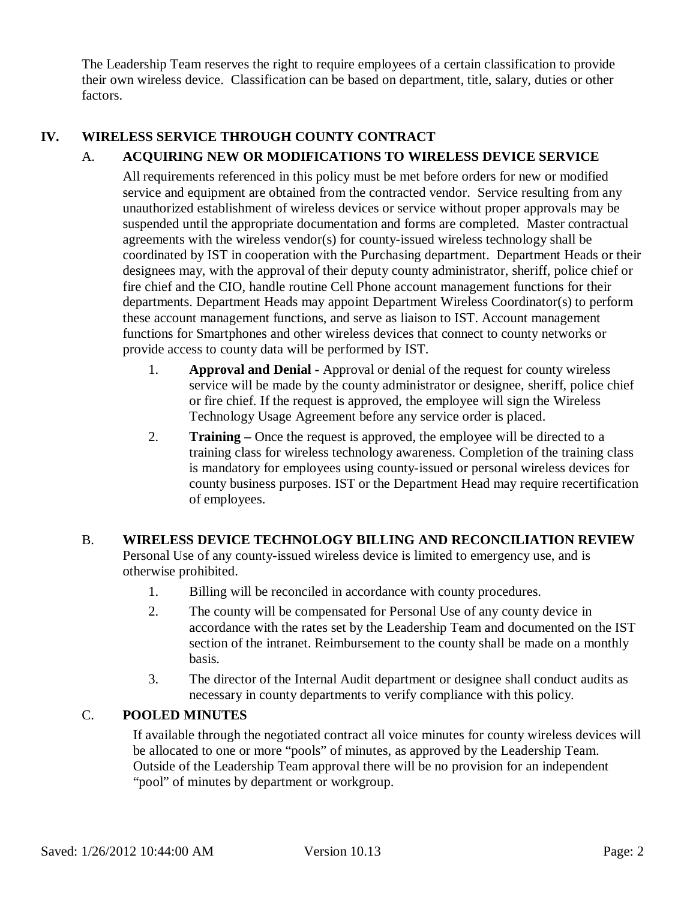The Leadership Team reserves the right to require employees of a certain classification to provide their own wireless device. Classification can be based on department, title, salary, duties or other factors.

## **IV. WIRELESS SERVICE THROUGH COUNTY CONTRACT**

## A. **ACQUIRING NEW OR MODIFICATIONS TO WIRELESS DEVICE SERVICE**

All requirements referenced in this policy must be met before orders for new or modified service and equipment are obtained from the contracted vendor. Service resulting from any unauthorized establishment of wireless devices or service without proper approvals may be suspended until the appropriate documentation and forms are completed. Master contractual agreements with the wireless vendor(s) for county-issued wireless technology shall be coordinated by IST in cooperation with the Purchasing department. Department Heads or their designees may, with the approval of their deputy county administrator, sheriff, police chief or fire chief and the CIO, handle routine Cell Phone account management functions for their departments. Department Heads may appoint Department Wireless Coordinator(s) to perform these account management functions, and serve as liaison to IST. Account management functions for Smartphones and other wireless devices that connect to county networks or provide access to county data will be performed by IST.

- 1. **Approval and Denial -** Approval or denial of the request for county wireless service will be made by the county administrator or designee, sheriff, police chief or fire chief. If the request is approved, the employee will sign the Wireless Technology Usage Agreement before any service order is placed.
- 2. **Training –** Once the request is approved, the employee will be directed to a training class for wireless technology awareness. Completion of the training class is mandatory for employees using county-issued or personal wireless devices for county business purposes. IST or the Department Head may require recertification of employees.

#### B. **WIRELESS DEVICE TECHNOLOGY BILLING AND RECONCILIATION REVIEW**

Personal Use of any county-issued wireless device is limited to emergency use, and is otherwise prohibited.

- 1. Billing will be reconciled in accordance with county procedures.
- 2. The county will be compensated for Personal Use of any county device in accordance with the rates set by the Leadership Team and documented on the IST section of the intranet. Reimbursement to the county shall be made on a monthly basis.
- 3. The director of the Internal Audit department or designee shall conduct audits as necessary in county departments to verify compliance with this policy.

## C. **POOLED MINUTES**

If available through the negotiated contract all voice minutes for county wireless devices will be allocated to one or more "pools" of minutes, as approved by the Leadership Team. Outside of the Leadership Team approval there will be no provision for an independent "pool" of minutes by department or workgroup.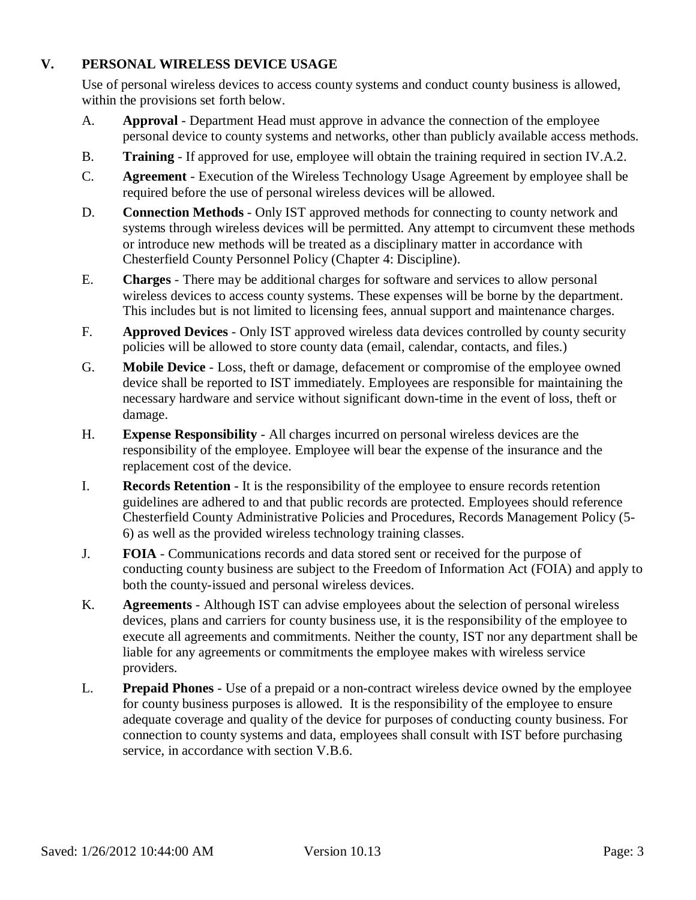## **V. PERSONAL WIRELESS DEVICE USAGE**

Use of personal wireless devices to access county systems and conduct county business is allowed, within the provisions set forth below.

- A. **Approval** Department Head must approve in advance the connection of the employee personal device to county systems and networks, other than publicly available access methods.
- B. **Training** If approved for use, employee will obtain the training required in section IV.A.2.
- C. **Agreement** Execution of the Wireless Technology Usage Agreement by employee shall be required before the use of personal wireless devices will be allowed.
- D. **Connection Methods** Only IST approved methods for connecting to county network and systems through wireless devices will be permitted. Any attempt to circumvent these methods or introduce new methods will be treated as a disciplinary matter in accordance with Chesterfield County Personnel Policy (Chapter 4: Discipline).
- E. **Charges** There may be additional charges for software and services to allow personal wireless devices to access county systems. These expenses will be borne by the department. This includes but is not limited to licensing fees, annual support and maintenance charges.
- F. **Approved Devices** Only IST approved wireless data devices controlled by county security policies will be allowed to store county data (email, calendar, contacts, and files.)
- G. **Mobile Device** Loss, theft or damage, defacement or compromise of the employee owned device shall be reported to IST immediately. Employees are responsible for maintaining the necessary hardware and service without significant down-time in the event of loss, theft or damage.
- H. **Expense Responsibility** All charges incurred on personal wireless devices are the responsibility of the employee. Employee will bear the expense of the insurance and the replacement cost of the device.
- I. **Records Retention** It is the responsibility of the employee to ensure records retention guidelines are adhered to and that public records are protected. Employees should reference Chesterfield County Administrative Policies and Procedures, Records Management Policy (5- 6) as well as the provided wireless technology training classes.
- J. **FOIA** Communications records and data stored sent or received for the purpose of conducting county business are subject to the Freedom of Information Act (FOIA) and apply to both the county-issued and personal wireless devices.
- K. **Agreements** Although IST can advise employees about the selection of personal wireless devices, plans and carriers for county business use, it is the responsibility of the employee to execute all agreements and commitments. Neither the county, IST nor any department shall be liable for any agreements or commitments the employee makes with wireless service providers.
- L. **Prepaid Phones**  Use of a prepaid or a non-contract wireless device owned by the employee for county business purposes is allowed. It is the responsibility of the employee to ensure adequate coverage and quality of the device for purposes of conducting county business. For connection to county systems and data, employees shall consult with IST before purchasing service, in accordance with section V.B.6.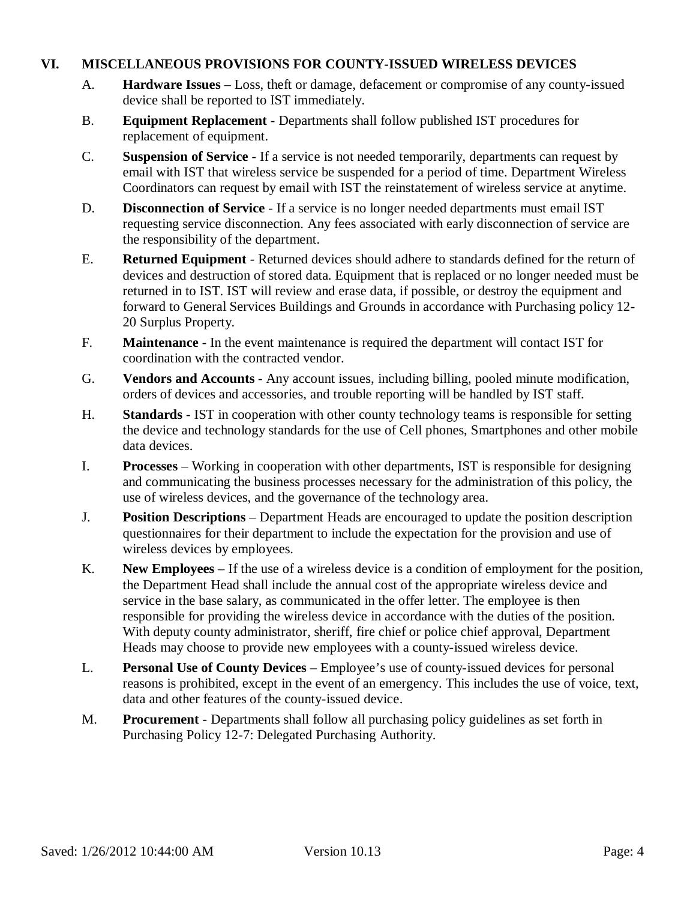### **VI. MISCELLANEOUS PROVISIONS FOR COUNTY-ISSUED WIRELESS DEVICES**

- A. **Hardware Issues** Loss, theft or damage, defacement or compromise of any county-issued device shall be reported to IST immediately.
- B. **Equipment Replacement** Departments shall follow published IST procedures for replacement of equipment.
- C. **Suspension of Service** If a service is not needed temporarily, departments can request by email with IST that wireless service be suspended for a period of time. Department Wireless Coordinators can request by email with IST the reinstatement of wireless service at anytime.
- D. **Disconnection of Service** If a service is no longer needed departments must email IST requesting service disconnection. Any fees associated with early disconnection of service are the responsibility of the department.
- E. **Returned Equipment** Returned devices should adhere to standards defined for the return of devices and destruction of stored data. Equipment that is replaced or no longer needed must be returned in to IST. IST will review and erase data, if possible, or destroy the equipment and forward to General Services Buildings and Grounds in accordance with Purchasing policy 12- 20 Surplus Property.
- F. **Maintenance** In the event maintenance is required the department will contact IST for coordination with the contracted vendor.
- G. **Vendors and Accounts** Any account issues, including billing, pooled minute modification, orders of devices and accessories, and trouble reporting will be handled by IST staff.
- H. **Standards** IST in cooperation with other county technology teams is responsible for setting the device and technology standards for the use of Cell phones, Smartphones and other mobile data devices.
- I. **Processes**  Working in cooperation with other departments, IST is responsible for designing and communicating the business processes necessary for the administration of this policy, the use of wireless devices, and the governance of the technology area.
- J. **Position Descriptions**  Department Heads are encouraged to update the position description questionnaires for their department to include the expectation for the provision and use of wireless devices by employees.
- K. **New Employees**  If the use of a wireless device is a condition of employment for the position, the Department Head shall include the annual cost of the appropriate wireless device and service in the base salary, as communicated in the offer letter. The employee is then responsible for providing the wireless device in accordance with the duties of the position. With deputy county administrator, sheriff, fire chief or police chief approval, Department Heads may choose to provide new employees with a county-issued wireless device.
- L. **Personal Use of County Devices**  Employee's use of county-issued devices for personal reasons is prohibited, except in the event of an emergency. This includes the use of voice, text, data and other features of the county-issued device.
- M. **Procurement**  Departments shall follow all purchasing policy guidelines as set forth in Purchasing Policy 12-7: Delegated Purchasing Authority.